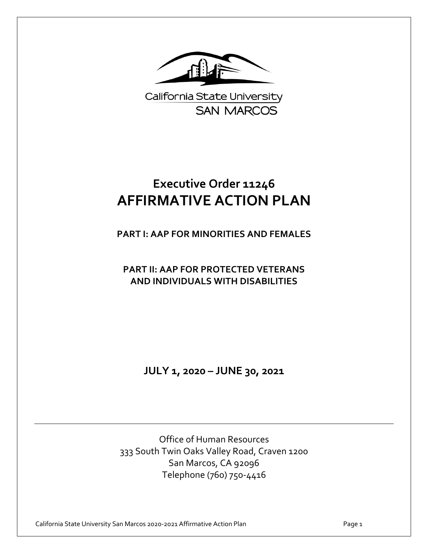

California State University **SAN MARCOS** 

# **Executive Order 11246 AFFIRMATIVE ACTION PLAN**

**PART I: AAP FOR MINORITIES AND FEMALES**

**PART II: AAP FOR PROTECTED VETERANS AND INDIVIDUALS WITH DISABILITIES**

**JULY 1, 2020 – JUNE 30, 2021**

Office of Human Resources 333 South Twin Oaks Valley Road, Craven 1200 San Marcos, CA 92096 Telephone (760) 750-4416

California State University San Marcos 2020-2021 Affirmative Action Plan Page 1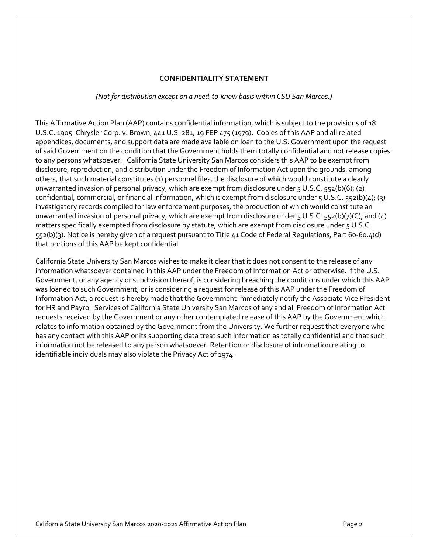#### **CONFIDENTIALITY STATEMENT**

#### *(Not for distribution except on a need-to-know basis within CSU San Marcos.)*

This Affirmative Action Plan (AAP) contains confidential information, which is subject to the provisions of 18 U.S.C. 1905. Chrysler Corp. v. Brown, 441 U.S. 281, 19 FEP 475 (1979). Copies of this AAP and all related appendices, documents, and support data are made available on loan to the U.S. Government upon the request of said Government on the condition that the Government holds them totally confidential and not release copies to any persons whatsoever. California State University San Marcos considers this AAP to be exempt from disclosure, reproduction, and distribution under the Freedom of Information Act upon the grounds, among others, that such material constitutes (1) personnel files, the disclosure of which would constitute a clearly unwarranted invasion of personal privacy, which are exempt from disclosure under 5 U.S.C. 552(b)(6); (2) confidential, commercial, or financial information, which is exempt from disclosure under 5 U.S.C. 552(b)(4); (3) investigatory records compiled for law enforcement purposes, the production of which would constitute an unwarranted invasion of personal privacy, which are exempt from disclosure under 5 U.S.C. 552(b)(7)(C); and (4) matters specifically exempted from disclosure by statute, which are exempt from disclosure under 5 U.S.C. 552(b)(3). Notice is hereby given of a request pursuant to Title 41 Code of Federal Regulations, Part 60-60.4(d) that portions of this AAP be kept confidential.

California State University San Marcos wishes to make it clear that it does not consent to the release of any information whatsoever contained in this AAP under the Freedom of Information Act or otherwise. If the U.S. Government, or any agency or subdivision thereof, is considering breaching the conditions under which this AAP was loaned to such Government, or is considering a request for release of this AAP under the Freedom of Information Act, a request is hereby made that the Government immediately notify the Associate Vice President for HR and Payroll Services of California State University San Marcos of any and all Freedom of Information Act requests received by the Government or any other contemplated release of this AAP by the Government which relates to information obtained by the Government from the University. We further request that everyone who has any contact with this AAP or its supporting data treat such information as totally confidential and that such information not be released to any person whatsoever. Retention or disclosure of information relating to identifiable individuals may also violate the Privacy Act of 1974.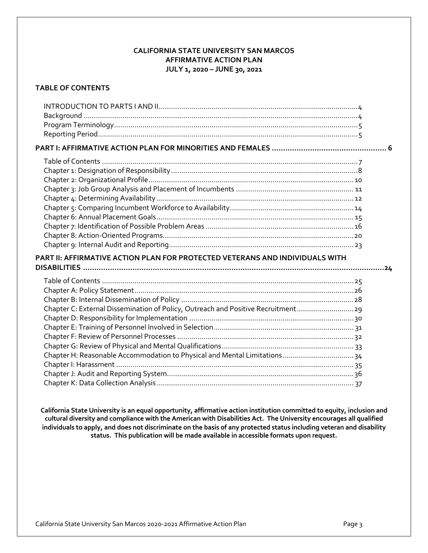### **CALIFORNIA STATE UNIVERSITY SAN MARCOS AFFIRMATIVE ACTION PLAN JULY 1, 2020 – JUNE 30, 2021**

### **TABLE OF CONTENTS**

| PART II: AFFIRMATIVE ACTION PLAN FOR PROTECTED VETERANS AND INDIVIDUALS WITH                                                                                   |  |
|----------------------------------------------------------------------------------------------------------------------------------------------------------------|--|
| Chapter C: External Dissemination of Policy, Outreach and Positive Recruitment29<br>Chapter H: Reasonable Accommodation to Physical and Mental Limitations  34 |  |

**California State University is an equal opportunity, affirmative action institution committed to equity, inclusion and cultural diversity and compliance with the American with Disabilities Act. The University encourages all qualified individuals to apply, and does not discriminate on the basis of any protected status including veteran and disability status. This publication will be made available in accessible formats upon request.**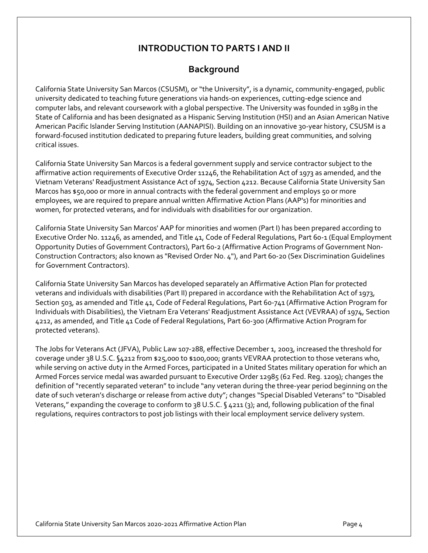# **INTRODUCTION TO PARTS I AND II**

# **Background**

California State University San Marcos (CSUSM), or "the University", is a dynamic, community-engaged, public university dedicated to teaching future generations via hands-on experiences, cutting-edge science and computer labs, and relevant coursework with a global perspective. The University was founded in 1989 in the State of California and has been designated as a Hispanic Serving Institution (HSI) and an Asian American Native American Pacific Islander Serving Institution (AANAPISI). Building on an innovative 30-year history, CSUSM is a forward-focused institution dedicated to preparing future leaders, building great communities, and solving critical issues.

California State University San Marcos is a federal government supply and service contractor subject to the affirmative action requirements of Executive Order 11246, the Rehabilitation Act of 1973 as amended, and the Vietnam Veterans' Readjustment Assistance Act of 1974, Section 4212. Because California State University San Marcos has \$50,000 or more in annual contracts with the federal government and employs 50 or more employees, we are required to prepare annual written Affirmative Action Plans (AAP's) for minorities and women, for protected veterans, and for individuals with disabilities for our organization.

California State University San Marcos' AAP for minorities and women (Part I) has been prepared according to Executive Order No. 11246, as amended, and Title 41, Code of Federal Regulations, Part 60-1 (Equal Employment Opportunity Duties of Government Contractors), Part 60-2 (Affirmative Action Programs of Government Non-Construction Contractors; also known as "Revised Order No. 4"), and Part 60-20 (Sex Discrimination Guidelines for Government Contractors).

California State University San Marcos has developed separately an Affirmative Action Plan for protected veterans and individuals with disabilities (Part II) prepared in accordance with the Rehabilitation Act of 1973, Section 503, as amended and Title 41, Code of Federal Regulations, Part 60-741 (Affirmative Action Program for Individuals with Disabilities), the Vietnam Era Veterans' Readjustment Assistance Act (VEVRAA) of 1974, Section 4212, as amended, and Title 41 Code of Federal Regulations, Part 60-300 (Affirmative Action Program for protected veterans).

The Jobs for Veterans Act (JFVA), Public Law 107-288, effective December 1, 2003, increased the threshold for coverage under 38 U.S.C. §4212 from \$25,000 to \$100,000; grants VEVRAA protection to those veterans who, while serving on active duty in the Armed Forces, participated in a United States military operation for which an Armed Forces service medal was awarded pursuant to Executive Order 12985 (62 Fed. Reg. 1209); changes the definition of "recently separated veteran" to include "any veteran during the three-year period beginning on the date of such veteran's discharge or release from active duty"; changes "Special Disabled Veterans" to "Disabled Veterans," expanding the coverage to conform to 38 U.S.C. § 4211 (3); and, following publication of the final regulations, requires contractors to post job listings with their local employment service delivery system.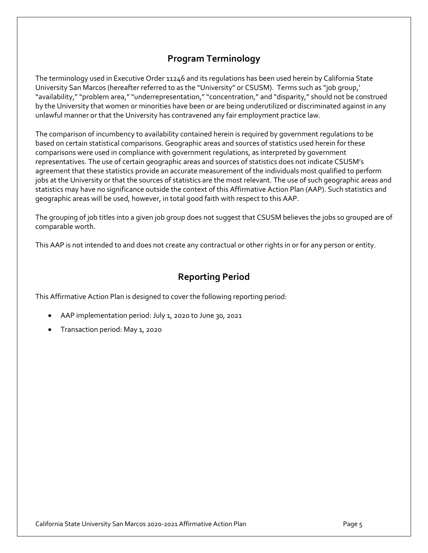# **Program Terminology**

The terminology used in Executive Order 11246 and its regulations has been used herein by California State University San Marcos (hereafter referred to as the "University" or CSUSM). Terms such as "job group,' "availability," "problem area," "underrepresentation," "concentration," and "disparity," should not be construed by the University that women or minorities have been or are being underutilized or discriminated against in any unlawful manner or that the University has contravened any fair employment practice law.

The comparison of incumbency to availability contained herein is required by government regulations to be based on certain statistical comparisons. Geographic areas and sources of statistics used herein for these comparisons were used in compliance with government regulations, as interpreted by government representatives. The use of certain geographic areas and sources of statistics does not indicate CSUSM's agreement that these statistics provide an accurate measurement of the individuals most qualified to perform jobs at the University or that the sources of statistics are the most relevant. The use of such geographic areas and statistics may have no significance outside the context of this Affirmative Action Plan (AAP). Such statistics and geographic areas will be used, however, in total good faith with respect to this AAP.

The grouping of job titles into a given job group does not suggest that CSUSM believes the jobs so grouped are of comparable worth.

This AAP is not intended to and does not create any contractual or other rights in or for any person or entity.

# **Reporting Period**

This Affirmative Action Plan is designed to cover the following reporting period:

- AAP implementation period: July 1, 2020 to June 30, 2021
- Transaction period: May 1, 2020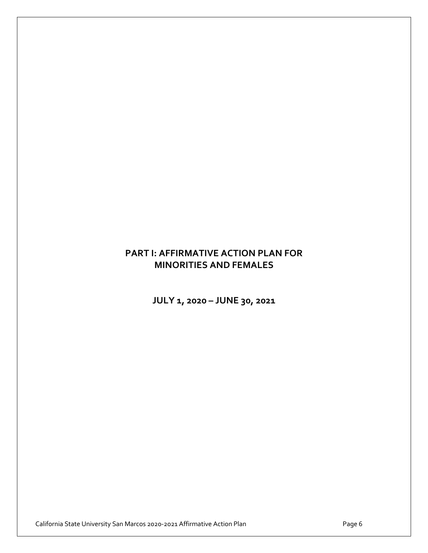# **PART I: AFFIRMATIVE ACTION PLAN FOR MINORITIES AND FEMALES**

**JULY 1, 2020 – JUNE 30, 2021**

California State University San Marcos 2020-2021 Affirmative Action Plan **Page 6** Page 6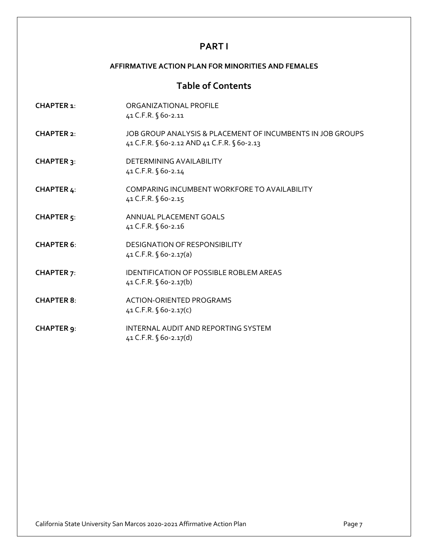# **PART I**

### **AFFIRMATIVE ACTION PLAN FOR MINORITIES AND FEMALES**

# **Table of Contents**

| <b>CHAPTER 1:</b>            | ORGANIZATIONAL PROFILE<br>41 C.F.R. § 60-2.11                                                             |
|------------------------------|-----------------------------------------------------------------------------------------------------------|
| CHAPTER 2:                   | JOB GROUP ANALYSIS & PLACEMENT OF INCUMBENTS IN JOB GROUPS<br>41 C.F.R. § 60-2.12 AND 41 C.F.R. § 60-2.13 |
| <b>CHAPTER 3:</b>            | DETERMINING AVAILABILITY<br>41 C.F.R. § 60-2.14                                                           |
| <b>CHAPTER 4:</b>            | COMPARING INCUMBENT WORKFORE TO AVAILABILITY<br>41 C.F.R. § 60-2.15                                       |
| <b>CHAPTER<sub>5</sub></b> : | ANNUAL PLACEMENT GOALS<br>41 C.F.R. § 60-2.16                                                             |
| <b>CHAPTER 6:</b>            | <b>DESIGNATION OF RESPONSIBILITY</b><br>41 C.F.R. $\sqrt{60-2.17(a)}$                                     |
| <b>CHAPTER 7:</b>            | <b>IDENTIFICATION OF POSSIBLE ROBLEM AREAS</b><br>41 C.F.R. § 60-2.17(b)                                  |
| <b>CHAPTER 8:</b>            | ACTION-ORIENTED PROGRAMS<br>41 C.F.R. $\sqrt{60-2.17(c)}$                                                 |
| CHAPTER 9:                   | INTERNAL AUDIT AND REPORTING SYSTEM<br>41 C.F.R. § 60-2.17(d)                                             |

California State University San Marcos 2020-2021 Affirmative Action Plan **Page 7** Page 7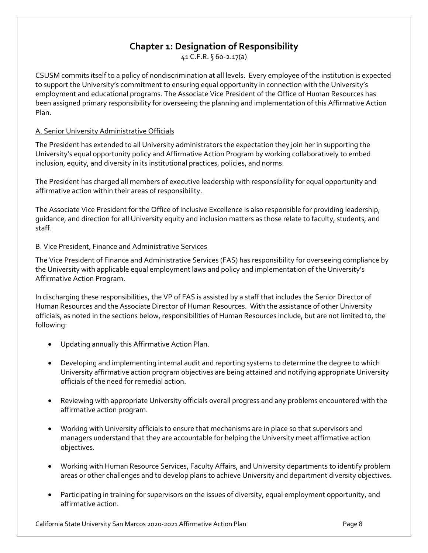# **Chapter 1: Designation of Responsibility**

41 C.F.R. § 60-2.17(a)

CSUSM commits itself to a p0licy of nondiscrimination at all levels. Every employee of the institution is expected to support the University's commitment to ensuring equal opportunity in connection with the University's employment and educational programs. The Associate Vice President of the Office of Human Resources has been assigned primary responsibility for overseeing the planning and implementation of this Affirmative Action Plan.

### A. Senior University Administrative Officials

The President has extended to all University administrators the expectation they join her in supporting the University's equal opportunity policy and Affirmative Action Program by working collaboratively to embed inclusion, equity, and diversity in its institutional practices, policies, and norms.

The President has charged all members of executive leadership with responsibility for equal opportunity and affirmative action within their areas of responsibility.

The Associate Vice President for the Office of Inclusive Excellence is also responsible for providing leadership, guidance, and direction for all University equity and inclusion matters as those relate to faculty, students, and staff.

### B. Vice President, Finance and Administrative Services

The Vice President of Finance and Administrative Services (FAS) has responsibility for overseeing compliance by the University with applicable equal employment laws and policy and implementation of the University's Affirmative Action Program.

In discharging these responsibilities, the VP of FAS is assisted by a staff that includes the Senior Director of Human Resources and the Associate Director of Human Resources. With the assistance of other University officials, as noted in the sections below, responsibilities of Human Resources include, but are not limited to, the following:

- Updating annually this Affirmative Action Plan.
- Developing and implementing internal audit and reporting systems to determine the degree to which University affirmative action program objectives are being attained and notifying appropriate University officials of the need for remedial action.
- Reviewing with appropriate University officials overall progress and any problems encountered with the affirmative action program.
- Working with University officials to ensure that mechanisms are in place so that supervisors and managers understand that they are accountable for helping the University meet affirmative action objectives.
- Working with Human Resource Services, Faculty Affairs, and University departments to identify problem areas or other challenges and to develop plans to achieve University and department diversity objectives.
- Participating in training for supervisors on the issues of diversity, equal employment opportunity, and affirmative action.

California State University San Marcos 2020-2021 Affirmative Action Plan Page 8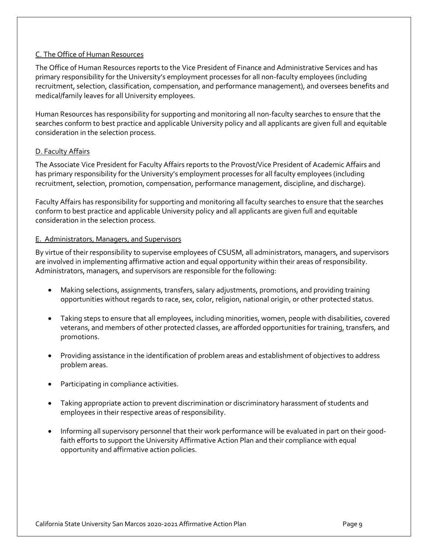### C. The Office of Human Resources

The Office of Human Resources reports to the Vice President of Finance and Administrative Services and has primary responsibility for the University's employment processes for all non-faculty employees (including recruitment, selection, classification, compensation, and performance management), and oversees benefits and medical/family leaves for all University employees.

Human Resources has responsibility for supporting and monitoring all non-faculty searches to ensure that the searches conform to best practice and applicable University policy and all applicants are given full and equitable consideration in the selection process.

### D. Faculty Affairs

The Associate Vice President for Faculty Affairs reports to the Provost/Vice President of Academic Affairs and has primary responsibility for the University's employment processes for all faculty employees (including recruitment, selection, promotion, compensation, performance management, discipline, and discharge).

Faculty Affairs has responsibility for supporting and monitoring all faculty searches to ensure that the searches conform to best practice and applicable University policy and all applicants are given full and equitable consideration in the selection process.

#### E. Administrators, Managers, and Supervisors

By virtue of their responsibility to supervise employees of CSUSM, all administrators, managers, and supervisors are involved in implementing affirmative action and equal opportunity within their areas of responsibility. Administrators, managers, and supervisors are responsible for the following:

- Making selections, assignments, transfers, salary adjustments, promotions, and providing training opportunities without regards to race, sex, color, religion, national origin, or other protected status.
- Taking steps to ensure that all employees, including minorities, women, people with disabilities, covered veterans, and members of other protected classes, are afforded opportunities for training, transfers, and promotions.
- Providing assistance in the identification of problem areas and establishment of objectives to address problem areas.
- Participating in compliance activities.
- Taking appropriate action to prevent discrimination or discriminatory harassment of students and employees in their respective areas of responsibility.
- Informing all supervisory personnel that their work performance will be evaluated in part on their goodfaith efforts to support the University Affirmative Action Plan and their compliance with equal opportunity and affirmative action policies.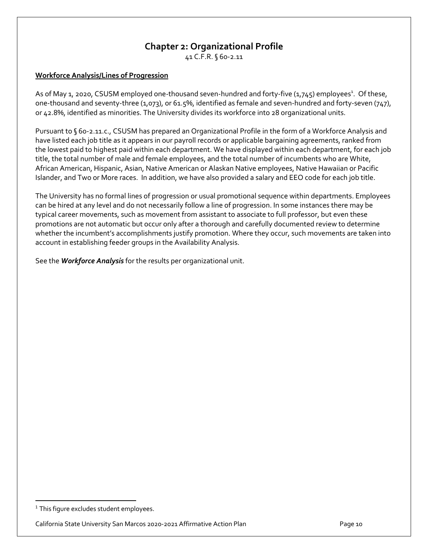# **Chapter 2: Organizational Profile**

41 C.F.R. § 60-2.11

### **Workforce Analysis/Lines of Progression**

As of May 1, 2020, CSUSM employed one-thousand seven-hundred and forty-five (1,745) employees<sup>1</sup>. Of these, one-thousand and seventy-three (1,073), or 61.5%, identified as female and seven-hundred and forty-seven (747), or 42.8%, identified as minorities. The University divides its workforce into 28 organizational units.

Pursuant to § 60-2.11.c., CSUSM has prepared an Organizational Profile in the form of a Workforce Analysis and have listed each job title as it appears in our payroll records or applicable bargaining agreements, ranked from the lowest paid to highest paid within each department. We have displayed within each department, for each job title, the total number of male and female employees, and the total number of incumbents who are White, African American, Hispanic, Asian, Native American or Alaskan Native employees, Native Hawaiian or Pacific Islander, and Two or More races. In addition, we have also provided a salary and EEO code for each job title.

The University has no formal lines of progression or usual promotional sequence within departments. Employees can be hired at any level and do not necessarily follow a line of progression. In some instances there may be typical career movements, such as movement from assistant to associate to full professor, but even these promotions are not automatic but occur only after a thorough and carefully documented review to determine whether the incumbent's accomplishments justify promotion. Where they occur, such movements are taken into account in establishing feeder groups in the Availability Analysis.

See the *Workforce Analysis* for the results per organizational unit.

 $1$  This figure excludes student employees.

California State University San Marcos 2020-2021 Affirmative Action Plan Page 10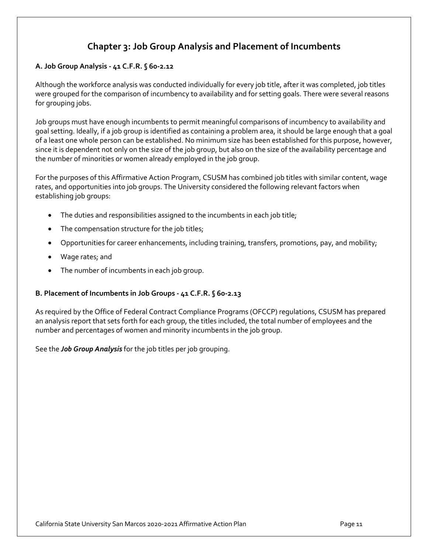# **Chapter 3: Job Group Analysis and Placement of Incumbents**

### **A. Job Group Analysis - 41 C.F.R. § 60-2.12**

Although the workforce analysis was conducted individually for every job title, after it was completed, job titles were grouped for the comparison of incumbency to availability and for setting goals. There were several reasons for grouping jobs.

Job groups must have enough incumbents to permit meaningful comparisons of incumbency to availability and goal setting. Ideally, if a job group is identified as containing a problem area, it should be large enough that a goal of a least one whole person can be established. No minimum size has been established for this purpose, however, since it is dependent not only on the size of the job group, but also on the size of the availability percentage and the number of minorities or women already employed in the job group.

For the purposes of this Affirmative Action Program, CSUSM has combined job titles with similar content, wage rates, and opportunities into job groups. The University considered the following relevant factors when establishing job groups:

- The duties and responsibilities assigned to the incumbents in each job title;
- The compensation structure for the job titles;
- Opportunities for career enhancements, including training, transfers, promotions, pay, and mobility;
- Wage rates; and
- The number of incumbents in each job group.

### **B. Placement of Incumbents in Job Groups - 41 C.F.R. § 60-2.13**

As required by the Office of Federal Contract Compliance Programs (OFCCP) regulations, CSUSM has prepared an analysis report that sets forth for each group, the titles included, the total number of employees and the number and percentages of women and minority incumbents in the job group.

See the *Job Group Analysis* for the job titles per job grouping.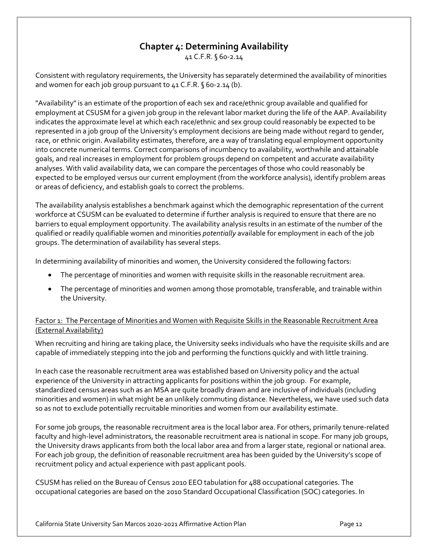# **Chapter 4: Determining Availability**

41 C.F.R. § 60-2.14

Consistent with regulatory requirements, the University has separately determined the availability of minorities and women for each job group pursuant to 41 C.F.R. § 60-2.14 (b).

"Availability" is an estimate of the proportion of each sex and race/ethnic group available and qualified for employment at CSUSM for a given job group in the relevant labor market during the life of the AAP. Availability indicates the approximate level at which each race/ethnic and sex group could reasonably be expected to be represented in a job group of the University's employment decisions are being made without regard to gender, race, or ethnic origin. Availability estimates, therefore, are a way of translating equal employment opportunity into concrete numerical terms. Correct comparisons of incumbency to availability, worthwhile and attainable goals, and real increases in employment for problem groups depend on competent and accurate availability analyses. With valid availability data, we can compare the percentages of those who could reasonably be expected to be employed versus our current employment (from the workforce analysis), identify problem areas or areas of deficiency, and establish goals to correct the problems.

The availability analysis establishes a benchmark against which the demographic representation of the current workforce at CSUSM can be evaluated to determine if further analysis is required to ensure that there are no barriers to equal employment opportunity. The availability analysis results in an estimate of the number of the qualified or readily qualifiable women and minorities *potentially* available for employment in each of the job groups. The determination of availability has several steps.

In determining availability of minorities and women, the University considered the following factors:

- The percentage of minorities and women with requisite skills in the reasonable recruitment area.
- The percentage of minorities and women among those promotable, transferable, and trainable within the University.

### Factor 1: The Percentage of Minorities and Women with Requisite Skills in the Reasonable Recruitment Area (External Availability)

When recruiting and hiring are taking place, the University seeks individuals who have the requisite skills and are capable of immediately stepping into the job and performing the functions quickly and with little training.

In each case the reasonable recruitment area was established based on University policy and the actual experience of the University in attracting applicants for positions within the job group. For example, standardized census areas such as an MSA are quite broadly drawn and are inclusive of individuals (including minorities and women) in what might be an unlikely commuting distance. Nevertheless, we have used such data so as not to exclude potentially recruitable minorities and women from our availability estimate.

For some job groups, the reasonable recruitment area is the local labor area. For others, primarily tenure-related faculty and high-level administrators, the reasonable recruitment area is national in scope. For many job groups, the University draws applicants from both the local labor area and from a larger state, regional or national area. For each job group, the definition of reasonable recruitment area has been guided by the University's scope of recruitment policy and actual experience with past applicant pools.

CSUSM has relied on the Bureau of Census 2010 EEO tabulation for 488 occupational categories. The occupational categories are based on the 2010 Standard Occupational Classification (SOC) categories. In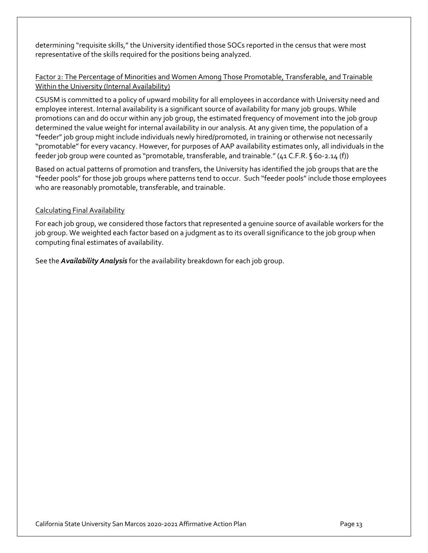determining "requisite skills," the University identified those SOCs reported in the census that were most representative of the skills required for the positions being analyzed.

### Factor 2: The Percentage of Minorities and Women Among Those Promotable, Transferable, and Trainable Within the University (Internal Availability)

CSUSM is committed to a policy of upward mobility for all employees in accordance with University need and employee interest. Internal availability is a significant source of availability for many job groups. While promotions can and do occur within any job group, the estimated frequency of movement into the job group determined the value weight for internal availability in our analysis. At any given time, the population of a "feeder" job group might include individuals newly hired/promoted, in training or otherwise not necessarily "promotable" for every vacancy. However, for purposes of AAP availability estimates only, all individuals in the feeder job group were counted as "promotable, transferable, and trainable." (41 C.F.R. § 60-2.14 (f))

Based on actual patterns of promotion and transfers, the University has identified the job groups that are the "feeder pools" for those job groups where patterns tend to occur. Such "feeder pools" include those employees who are reasonably promotable, transferable, and trainable.

### Calculating Final Availability

For each job group, we considered those factors that represented a genuine source of available workers for the job group. We weighted each factor based on a judgment as to its overall significance to the job group when computing final estimates of availability.

See the *Availability Analysis* for the availability breakdown for each job group.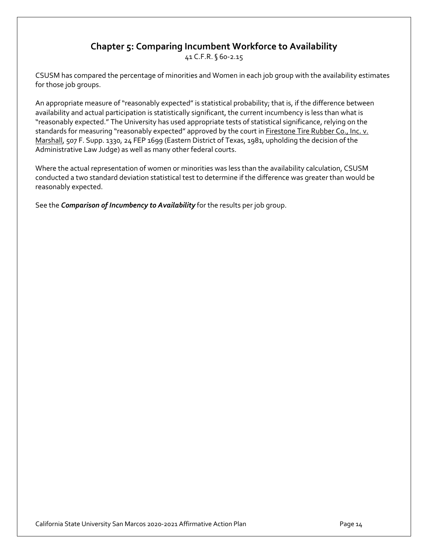# **Chapter 5: Comparing Incumbent Workforce to Availability**

41 C.F.R. § 60-2.15

CSUSM has compared the percentage of minorities and Women in each job group with the availability estimates for those job groups.

An appropriate measure of "reasonably expected" is statistical probability; that is, if the difference between availability and actual participation is statistically significant, the current incumbency is less than what is "reasonably expected." The University has used appropriate tests of statistical significance, relying on the standards for measuring "reasonably expected" approved by the court in Firestone Tire Rubber Co., Inc. v. Marshall, 507 F. Supp. 1330, 24 FEP 1699 (Eastern District of Texas, 1981, upholding the decision of the Administrative Law Judge) as well as many other federal courts.

Where the actual representation of women or minorities was less than the availability calculation, CSUSM conducted a two standard deviation statistical test to determine if the difference was greater than would be reasonably expected.

See the *Comparison of Incumbency to Availability* for the results per job group.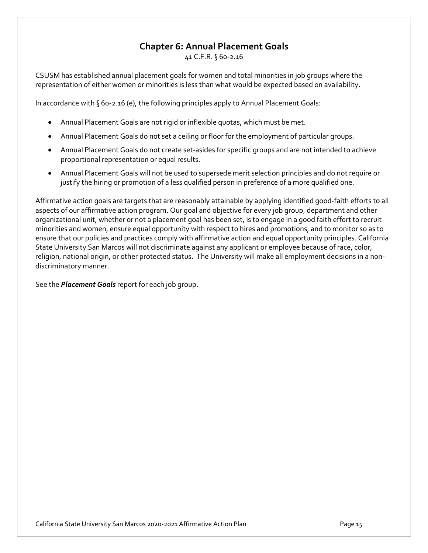# **Chapter 6: Annual Placement Goals**

41 C.F.R. § 60-2.16

CSUSM has established annual placement goals for women and total minorities in job groups where the representation of either women or minorities is less than what would be expected based on availability.

In accordance with § 60-2.16 (e), the following principles apply to Annual Placement Goals:

- Annual Placement Goals are not rigid or inflexible quotas, which must be met.
- Annual Placement Goals do not set a ceiling or floor for the employment of particular groups.
- Annual Placement Goals do not create set-asides for specific groups and are not intended to achieve proportional representation or equal results.
- Annual Placement Goals will not be used to supersede merit selection principles and do not require or justify the hiring or promotion of a less qualified person in preference of a more qualified one.

Affirmative action goals are targets that are reasonably attainable by applying identified good-faith efforts to all aspects of our affirmative action program. Our goal and objective for every job group, department and other organizational unit, whether or not a placement goal has been set, is to engage in a good faith effort to recruit minorities and women, ensure equal opportunity with respect to hires and promotions, and to monitor so as to ensure that our policies and practices comply with affirmative action and equal opportunity principles. California State University San Marcos will not discriminate against any applicant or employee because of race, color, religion, national origin, or other protected status. The University will make all employment decisions in a nondiscriminatory manner.

See the *Placement Goals* report for each job group.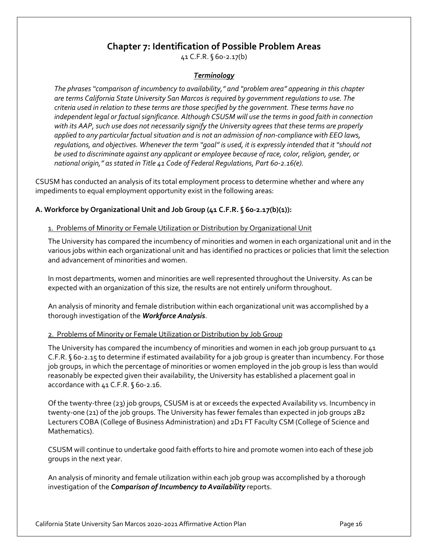### **Chapter 7: Identification of Possible Problem Areas**

41 C.F.R. § 60-2.17(b)

### *Terminology*

*The phrases "comparison of incumbency to availability," and "problem area" appearing in this chapter are terms California State University San Marcos is required by government regulations to use. The criteria used in relation to these terms are those specified by the government. These terms have no independent legal or factual significance. Although CSUSM will use the terms in good faith in connection with its AAP, such use does not necessarily signify the University agrees that these terms are properly applied to any particular factual situation and is not an admission of non-compliance with EEO laws, regulations, and objectives. Whenever the term "goal" is used, it is expressly intended that it "should not be used to discriminate against any applicant or employee because of race, color, religion, gender, or national origin," as stated in Title 41 Code of Federal Regulations, Part 60-2.16(e).*

CSUSM has conducted an analysis of its total employment process to determine whether and where any impediments to equal employment opportunity exist in the following areas:

#### **A. Workforce by Organizational Unit and Job Group (41 C.F.R. § 60-2.17(b)(1)):**

#### 1. Problems of Minority or Female Utilization or Distribution by Organizational Unit

The University has compared the incumbency of minorities and women in each organizational unit and in the various jobs within each organizational unit and has identified no practices or policies that limit the selection and advancement of minorities and women.

In most departments, women and minorities are well represented throughout the University. As can be expected with an organization of this size, the results are not entirely uniform throughout.

An analysis of minority and female distribution within each organizational unit was accomplished by a thorough investigation of the *Workforce Analysis*.

#### 2. Problems of Minority or Female Utilization or Distribution by Job Group

The University has compared the incumbency of minorities and women in each job group pursuant to 41 C.F.R. § 60-2.15 to determine if estimated availability for a job group is greater than incumbency. For those job groups, in which the percentage of minorities or women employed in the job group is less than would reasonably be expected given their availability, the University has established a placement goal in accordance with 41 C.F.R. § 60-2.16.

Of the twenty-three (23) job groups, CSUSM is at or exceeds the expected Availability vs. Incumbency in twenty-one (21) of the job groups. The University has fewer females than expected in job groups 2B2 Lecturers COBA (College of Business Administration) and 2D1 FT Faculty CSM (College of Science and Mathematics).

CSUSM will continue to undertake good faith efforts to hire and promote women into each of these job groups in the next year.

An analysis of minority and female utilization within each job group was accomplished by a thorough investigation of the *Comparison of Incumbency to Availability* reports.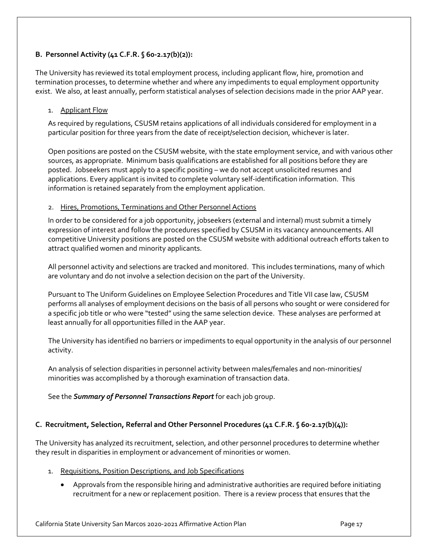### **B. Personnel Activity (41 C.F.R. § 60-2.17(b)(2)):**

The University has reviewed its total employment process, including applicant flow, hire, promotion and termination processes, to determine whether and where any impediments to equal employment opportunity exist. We also, at least annually, perform statistical analyses of selection decisions made in the prior AAP year.

### 1. Applicant Flow

As required by regulations, CSUSM retains applications of all individuals considered for employment in a particular position for three years from the date of receipt/selection decision, whichever is later.

Open positions are posted on the CSUSM website, with the state employment service, and with various other sources, as appropriate. Minimum basis qualifications are established for all positions before they are posted. Jobseekers must apply to a specific positing – we do not accept unsolicited resumes and applications. Every applicant is invited to complete voluntary self-identification information. This information is retained separately from the employment application.

### 2. Hires, Promotions, Terminations and Other Personnel Actions

In order to be considered for a job opportunity, jobseekers (external and internal) must submit a timely expression of interest and follow the procedures specified by CSUSM in its vacancy announcements. All competitive University positions are posted on the CSUSM website with additional outreach efforts taken to attract qualified women and minority applicants.

All personnel activity and selections are tracked and monitored. This includes terminations, many of which are voluntary and do not involve a selection decision on the part of the University.

Pursuant to The Uniform Guidelines on Employee Selection Procedures and Title VII case law, CSUSM performs all analyses of employment decisions on the basis of all persons who sought or were considered for a specific job title or who were "tested" using the same selection device. These analyses are performed at least annually for all opportunities filled in the AAP year.

The University has identified no barriers or impediments to equal opportunity in the analysis of our personnel activity.

An analysis of selection disparities in personnel activity between males/females and non-minorities/ minorities was accomplished by a thorough examination of transaction data.

See the *Summary of Personnel Transactions Report* for each job group.

### **C. Recruitment, Selection, Referral and Other Personnel Procedures (41 C.F.R. § 60-2.17(b)(4)):**

The University has analyzed its recruitment, selection, and other personnel procedures to determine whether they result in disparities in employment or advancement of minorities or women.

- 1. Requisitions, Position Descriptions, and Job Specifications
	- Approvals from the responsible hiring and administrative authorities are required before initiating recruitment for a new or replacement position. There is a review process that ensures that the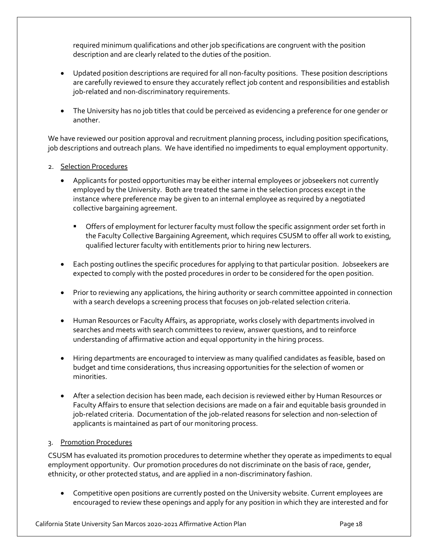required minimum qualifications and other job specifications are congruent with the position description and are clearly related to the duties of the position.

- Updated position descriptions are required for all non-faculty positions. These position descriptions are carefully reviewed to ensure they accurately reflect job content and responsibilities and establish job-related and non-discriminatory requirements.
- The University has no job titles that could be perceived as evidencing a preference for one gender or another.

We have reviewed our position approval and recruitment planning process, including position specifications, job descriptions and outreach plans. We have identified no impediments to equal employment opportunity.

- 2. Selection Procedures
	- Applicants for posted opportunities may be either internal employees or jobseekers not currently employed by the University. Both are treated the same in the selection process except in the instance where preference may be given to an internal employee as required by a negotiated collective bargaining agreement.
		- Offers of employment for lecturer faculty must follow the specific assignment order set forth in the Faculty Collective Bargaining Agreement, which requires CSUSM to offer all work to existing, qualified lecturer faculty with entitlements prior to hiring new lecturers.
	- Each posting outlines the specific procedures for applying to that particular position. Jobseekers are expected to comply with the posted procedures in order to be considered for the open position.
	- Prior to reviewing any applications, the hiring authority or search committee appointed in connection with a search develops a screening process that focuses on job-related selection criteria.
	- Human Resources or Faculty Affairs, as appropriate, works closely with departments involved in searches and meets with search committees to review, answer questions, and to reinforce understanding of affirmative action and equal opportunity in the hiring process.
	- Hiring departments are encouraged to interview as many qualified candidates as feasible, based on budget and time considerations, thus increasing opportunities for the selection of women or minorities.
	- After a selection decision has been made, each decision is reviewed either by Human Resources or Faculty Affairs to ensure that selection decisions are made on a fair and equitable basis grounded in job-related criteria. Documentation of the job-related reasons for selection and non-selection of applicants is maintained as part of our monitoring process.

### 3. Promotion Procedures

CSUSM has evaluated its promotion procedures to determine whether they operate as impediments to equal employment opportunity. Our promotion procedures do not discriminate on the basis of race, gender, ethnicity, or other protected status, and are applied in a non-discriminatory fashion.

• Competitive open positions are currently posted on the University website. Current employees are encouraged to review these openings and apply for any position in which they are interested and for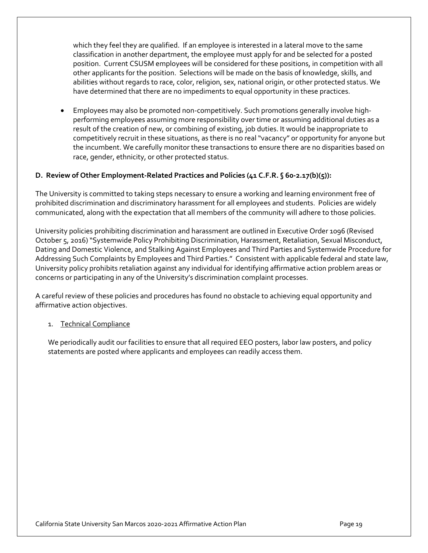which they feel they are qualified. If an employee is interested in a lateral move to the same classification in another department, the employee must apply for and be selected for a posted position. Current CSUSM employees will be considered for these positions, in competition with all other applicants for the position. Selections will be made on the basis of knowledge, skills, and abilities without regards to race, color, religion, sex, national origin, or other protected status. We have determined that there are no impediments to equal opportunity in these practices.

• Employees may also be promoted non-competitively. Such promotions generally involve highperforming employees assuming more responsibility over time or assuming additional duties as a result of the creation of new, or combining of existing, job duties. It would be inappropriate to competitively recruit in these situations, as there is no real "vacancy" or opportunity for anyone but the incumbent. We carefully monitor these transactions to ensure there are no disparities based on race, gender, ethnicity, or other protected status.

### **D. Review of Other Employment-Related Practices and Policies (41 C.F.R. § 60-2.17(b)(5)):**

The University is committed to taking steps necessary to ensure a working and learning environment free of prohibited discrimination and discriminatory harassment for all employees and students. Policies are widely communicated, along with the expectation that all members of the community will adhere to those policies.

University policies prohibiting discrimination and harassment are outlined in Executive Order 1096 (Revised October 5, 2016) "Systemwide Policy Prohibiting Discrimination, Harassment, Retaliation, Sexual Misconduct, Dating and Domestic Violence, and Stalking Against Employees and Third Parties and Systemwide Procedure for Addressing Such Complaints by Employees and Third Parties." Consistent with applicable federal and state law, University policy prohibits retaliation against any individual for identifying affirmative action problem areas or concerns or participating in any of the University's discrimination complaint processes.

A careful review of these policies and procedures has found no obstacle to achieving equal opportunity and affirmative action objectives.

#### 1. Technical Compliance

We periodically audit our facilities to ensure that all required EEO posters, labor law posters, and policy statements are posted where applicants and employees can readily access them.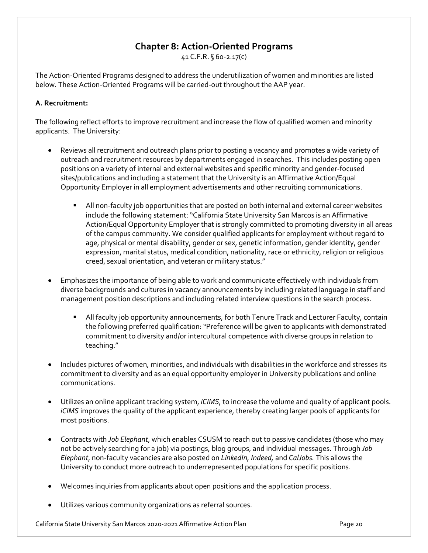# **Chapter 8: Action-Oriented Programs**

41 C.F.R. § 60-2.17(c)

The Action-Oriented Programs designed to address the underutilization of women and minorities are listed below. These Action-Oriented Programs will be carried-out throughout the AAP year.

#### **A. Recruitment:**

The following reflect efforts to improve recruitment and increase the flow of qualified women and minority applicants. The University:

- Reviews all recruitment and outreach plans prior to posting a vacancy and promotes a wide variety of outreach and recruitment resources by departments engaged in searches. This includes posting open positions on a variety of internal and external websites and specific minority and gender-focused sites/publications and including a statement that the University is an Affirmative Action/Equal Opportunity Employer in all employment advertisements and other recruiting communications.
	- § All non-faculty job opportunities that are posted on both internal and external career websites include the following statement: "California State University San Marcos is an Affirmative Action/Equal Opportunity Employer that is strongly committed to promoting diversity in all areas of the campus community. We consider qualified applicants for employment without regard to age, physical or mental disability, gender or sex, genetic information, gender identity, gender expression, marital status, medical condition, nationality, race or ethnicity, religion or religious creed, sexual orientation, and veteran or military status."
- Emphasizes the importance of being able to work and communicate effectively with individuals from diverse backgrounds and cultures in vacancy announcements by including related language in staff and management position descriptions and including related interview questions in the search process.
	- All faculty job opportunity announcements, for both Tenure Track and Lecturer Faculty, contain the following preferred qualification: "Preference will be given to applicants with demonstrated commitment to diversity and/or intercultural competence with diverse groups in relation to teaching."
- Includes pictures of women, minorities, and individuals with disabilities in the workforce and stresses its commitment to diversity and as an equal opportunity employer in University publications and online communications.
- Utilizes an online applicant tracking system, *iCIMS*, to increase the volume and quality of applicant pools. *iCIMS* improves the quality of the applicant experience, thereby creating larger pools of applicants for most positions.
- Contracts with *Job Elephant*, which enables CSUSM to reach out to passive candidates (those who may not be actively searching for a job) via postings, blog groups, and individual messages. Through *Job Elephant*, non-faculty vacancies are also posted on *LinkedIn, Indeed,* and *CalJobs.* This allows the University to conduct more outreach to underrepresented populations for specific positions.
- Welcomes inquiries from applicants about open positions and the application process.
- Utilizes various community organizations as referral sources.

California State University San Marcos 2020-2021 Affirmative Action Plan Page 20 Page 20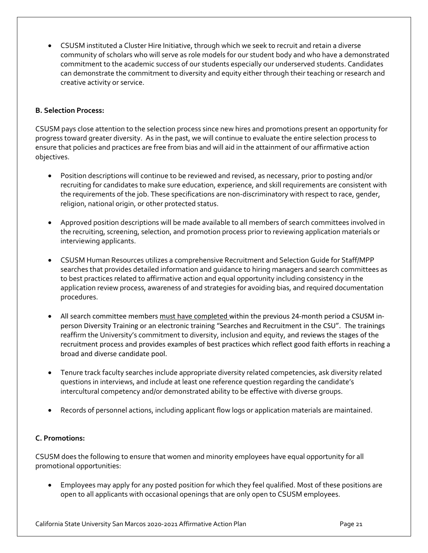• CSUSM instituted a Cluster Hire Initiative, through which we seek to recruit and retain a diverse community of scholars who will serve as role models for our student body and who have a demonstrated commitment to the academic success of our students especially our underserved students. Candidates can demonstrate the commitment to diversity and equity either through their teaching or research and creative activity or service.

### **B. Selection Process:**

CSUSM pays close attention to the selection process since new hires and promotions present an opportunity for progress toward greater diversity. As in the past, we will continue to evaluate the entire selection process to ensure that policies and practices are free from bias and will aid in the attainment of our affirmative action objectives.

- Position descriptions will continue to be reviewed and revised, as necessary, prior to posting and/or recruiting for candidates to make sure education, experience, and skill requirements are consistent with the requirements of the job. These specifications are non-discriminatory with respect to race, gender, religion, national origin, or other protected status.
- Approved position descriptions will be made available to all members of search committees involved in the recruiting, screening, selection, and promotion process prior to reviewing application materials or interviewing applicants.
- CSUSM Human Resources utilizes a comprehensive Recruitment and Selection Guide for Staff/MPP searches that provides detailed information and guidance to hiring managers and search committees as to best practices related to affirmative action and equal opportunity including consistency in the application review process, awareness of and strategies for avoiding bias, and required documentation procedures.
- All search committee members must have completed within the previous 24-month period a CSUSM inperson Diversity Training or an electronic training "Searches and Recruitment in the CSU". The trainings reaffirm the University's commitment to diversity, inclusion and equity, and reviews the stages of the recruitment process and provides examples of best practices which reflect good faith efforts in reaching a broad and diverse candidate pool.
- Tenure track faculty searches include appropriate diversity related competencies, ask diversity related questions in interviews, and include at least one reference question regarding the candidate's intercultural competency and/or demonstrated ability to be effective with diverse groups.
- Records of personnel actions, including applicant flow logs or application materials are maintained.

### **C. Promotions:**

CSUSM does the following to ensure that women and minority employees have equal opportunity for all promotional opportunities:

• Employees may apply for any posted position for which they feel qualified. Most of these positions are open to all applicants with occasional openings that are only open to CSUSM employees.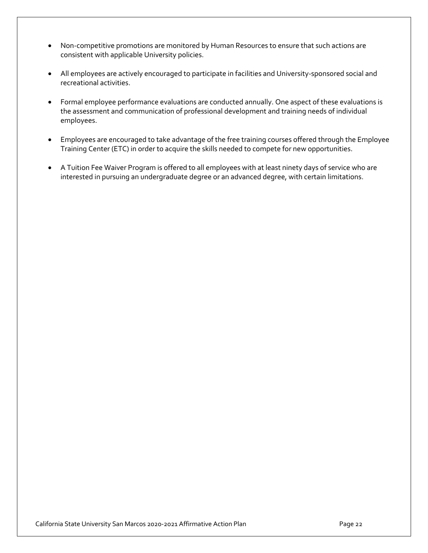- Non-competitive promotions are monitored by Human Resources to ensure that such actions are consistent with applicable University policies.
- All employees are actively encouraged to participate in facilities and University-sponsored social and recreational activities.
- Formal employee performance evaluations are conducted annually. One aspect of these evaluations is the assessment and communication of professional development and training needs of individual employees.
- Employees are encouraged to take advantage of the free training courses offered through the Employee Training Center (ETC) in order to acquire the skills needed to compete for new opportunities.
- A Tuition Fee Waiver Program is offered to all employees with at least ninety days of service who are interested in pursuing an undergraduate degree or an advanced degree, with certain limitations.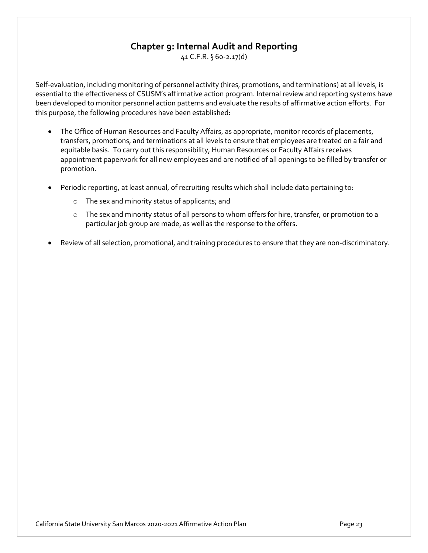# **Chapter 9: Internal Audit and Reporting**

41 C.F.R. § 60-2.17(d)

Self-evaluation, including monitoring of personnel activity (hires, promotions, and terminations) at all levels, is essential to the effectiveness of CSUSM's affirmative action program. Internal review and reporting systems have been developed to monitor personnel action patterns and evaluate the results of affirmative action efforts. For this purpose, the following procedures have been established:

- The Office of Human Resources and Faculty Affairs, as appropriate, monitor records of placements, transfers, promotions, and terminations at all levels to ensure that employees are treated on a fair and equitable basis. To carry out this responsibility, Human Resources or Faculty Affairs receives appointment paperwork for all new employees and are notified of all openings to be filled by transfer or promotion.
- Periodic reporting, at least annual, of recruiting results which shall include data pertaining to:
	- o The sex and minority status of applicants; and
	- o The sex and minority status of all persons to whom offers for hire, transfer, or promotion to a particular job group are made, as well as the response to the offers.
- Review of all selection, promotional, and training procedures to ensure that they are non-discriminatory.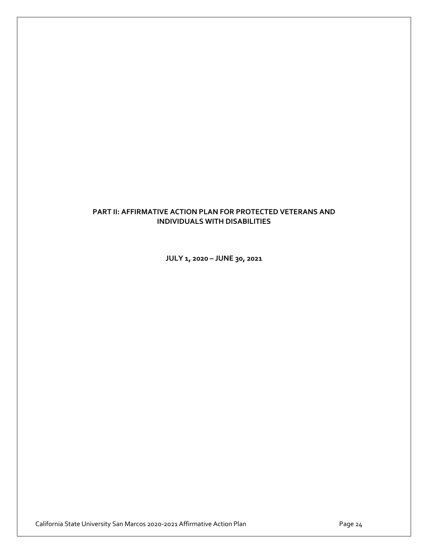### **PART II: AFFIRMATIVE ACTION PLAN FOR PROTECTED VETERANS AND INDIVIDUALS WITH DISABILITIES**

**JULY 1, 2020 – JUNE 30, 2021**

California State University San Marcos 2020-2021 Affirmative Action Plan Page 24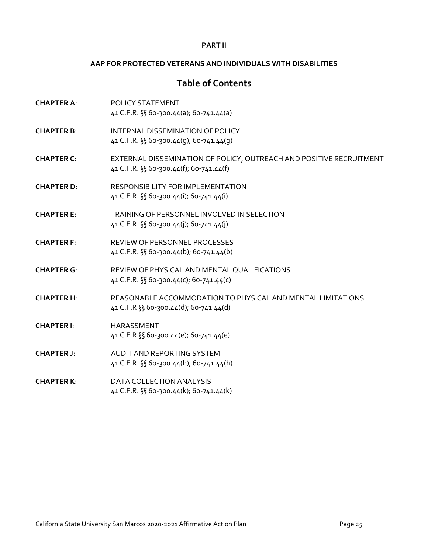#### **PART II**

#### **AAP FOR PROTECTED VETERANS AND INDIVIDUALS WITH DISABILITIES**

### **Table of Contents**

- **CHAPTER A**: POLICY STATEMENT 41 C.F.R. §§ 60-300.44(a); 60-741.44(a)
- **CHAPTER B**: INTERNAL DISSEMINATION OF POLICY 41 C.F.R. §§ 60-300.44(g); 60-741.44(g)
- **CHAPTER C**: EXTERNAL DISSEMINATION OF POLICY, OUTREACH AND POSITIVE RECRUITMENT 41 C.F.R. §§ 60-300.44(f); 60-741.44(f)
- **CHAPTER D**: RESPONSIBILITY FOR IMPLEMENTATION 41 C.F.R. §§ 60-300.44(i); 60-741.44(i)
- **CHAPTER E**: TRAINING OF PERSONNEL INVOLVED IN SELECTION 41 C.F.R. §§ 60-300.44(j); 60-741.44(j)
- **CHAPTER F**: REVIEW OF PERSONNEL PROCESSES 41 C.F.R. §§ 60-300.44(b); 60-741.44(b)
- **CHAPTER G**: REVIEW OF PHYSICAL AND MENTAL QUALIFICATIONS 41 C.F.R. §§ 60-300.44(c); 60-741.44(c)
- **CHAPTER H**: REASONABLE ACCOMMODATION TO PHYSICAL AND MENTAL LIMITATIONS 41 C.F.R §§ 60-300.44(d); 60-741.44(d)
- **CHAPTER I**: HARASSMENT 41 C.F.R §§ 60-300.44(e); 60-741.44(e)
- **CHAPTER J**: AUDIT AND REPORTING SYSTEM 41 C.F.R. §§ 60-300.44(h); 60-741.44(h)
- **CHAPTER K**: DATA COLLECTION ANALYSIS 41 C.F.R. §§ 60-300.44(k); 60-741.44(k)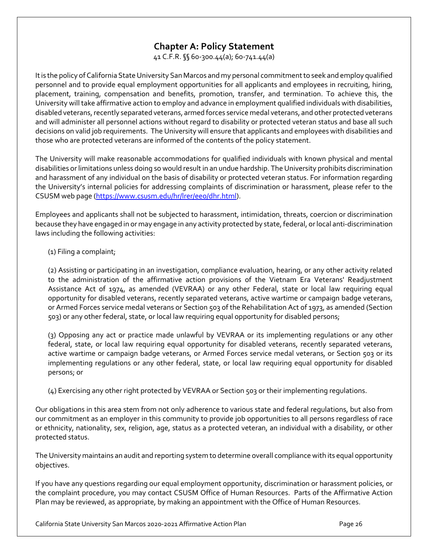# **Chapter A: Policy Statement**

41 C.F.R. §§ 60-300.44(a); 60-741.44(a)

It is the policy of California State University San Marcos and my personal commitment to seek and employ qualified personnel and to provide equal employment opportunities for all applicants and employees in recruiting, hiring, placement, training, compensation and benefits, promotion, transfer, and termination. To achieve this, the University will take affirmative action to employ and advance in employment qualified individuals with disabilities, disabled veterans, recently separated veterans, armed forces service medal veterans, and other protected veterans and will administer all personnel actions without regard to disability or protected veteran status and base all such decisions on valid job requirements. The University will ensure that applicants and employees with disabilities and those who are protected veterans are informed of the contents of the policy statement.

The University will make reasonable accommodations for qualified individuals with known physical and mental disabilities or limitations unless doing so would result in an undue hardship. The University prohibits discrimination and harassment of any individual on the basis of disability or protected veteran status. For information regarding the University's internal policies for addressing complaints of discrimination or harassment, please refer to the CSUSM web page (https://www.csusm.edu/hr/lrer/eeo/dhr.html).

Employees and applicants shall not be subjected to harassment, intimidation, threats, coercion or discrimination because they have engaged in or may engage in any activity protected by state, federal, or local anti-discrimination laws including the following activities:

### (1) Filing a complaint;

(2) Assisting or participating in an investigation, compliance evaluation, hearing, or any other activity related to the administration of the affirmative action provisions of the Vietnam Era Veterans' Readjustment Assistance Act of 1974, as amended (VEVRAA) or any other Federal, state or local law requiring equal opportunity for disabled veterans, recently separated veterans, active wartime or campaign badge veterans, or Armed Forces service medal veterans or Section 503 of the Rehabilitation Act of 1973, as amended (Section 503) or any other federal, state, or local law requiring equal opportunity for disabled persons;

(3) Opposing any act or practice made unlawful by VEVRAA or its implementing regulations or any other federal, state, or local law requiring equal opportunity for disabled veterans, recently separated veterans, active wartime or campaign badge veterans, or Armed Forces service medal veterans, or Section 503 or its implementing regulations or any other federal, state, or local law requiring equal opportunity for disabled persons; or

(4) Exercising any other right protected by VEVRAA or Section 503 or their implementing regulations.

Our obligations in this area stem from not only adherence to various state and federal regulations, but also from our commitment as an employer in this community to provide job opportunities to all persons regardless of race or ethnicity, nationality, sex, religion, age, status as a protected veteran, an individual with a disability, or other protected status.

The University maintains an audit and reporting system to determine overall compliance with its equal opportunity objectives.

If you have any questions regarding our equal employment opportunity, discrimination or harassment policies, or the complaint procedure, you may contact CSUSM Office of Human Resources. Parts of the Affirmative Action Plan may be reviewed, as appropriate, by making an appointment with the Office of Human Resources.

California State University San Marcos 2020-2021 Affirmative Action Plan Page 26 Page 26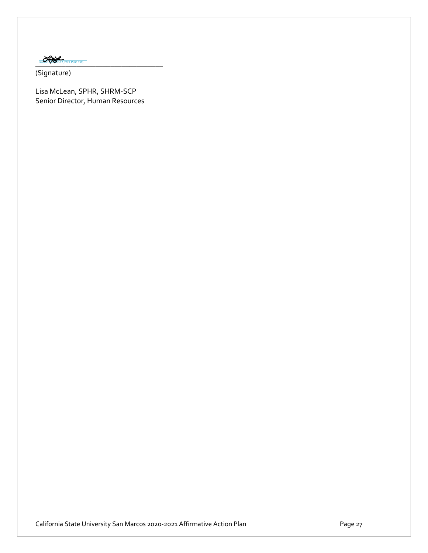Lisa McLean (Feb 12, 2021 15:08 PST)

(Signature)

Lisa McLean, SPHR, SHRM-SCP Senior Director, Human Resources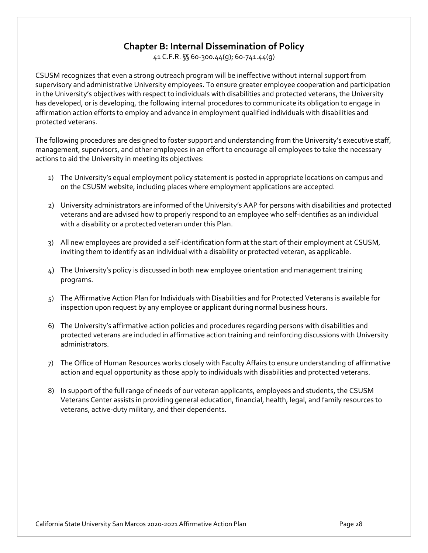# **Chapter B: Internal Dissemination of Policy**

41 C.F.R. §§ 60-300.44(g); 60-741.44(g)

CSUSM recognizes that even a strong outreach program will be ineffective without internal support from supervisory and administrative University employees. To ensure greater employee cooperation and participation in the University's objectives with respect to individuals with disabilities and protected veterans, the University has developed, or is developing, the following internal procedures to communicate its obligation to engage in affirmation action efforts to employ and advance in employment qualified individuals with disabilities and protected veterans.

The following procedures are designed to foster support and understanding from the University's executive staff, management, supervisors, and other employees in an effort to encourage all employees to take the necessary actions to aid the University in meeting its objectives:

- 1) The University's equal employment policy statement is posted in appropriate locations on campus and on the CSUSM website, including places where employment applications are accepted.
- 2) University administrators are informed of the University's AAP for persons with disabilities and protected veterans and are advised how to properly respond to an employee who self-identifies as an individual with a disability or a protected veteran under this Plan.
- 3) All new employees are provided a self-identification form at the start of their employment at CSUSM, inviting them to identify as an individual with a disability or protected veteran, as applicable.
- 4) The University's policy is discussed in both new employee orientation and management training programs.
- 5) The Affirmative Action Plan for Individuals with Disabilities and for Protected Veterans is available for inspection upon request by any employee or applicant during normal business hours.
- 6) The University's affirmative action policies and procedures regarding persons with disabilities and protected veterans are included in affirmative action training and reinforcing discussions with University administrators.
- 7) The Office of Human Resources works closely with Faculty Affairs to ensure understanding of affirmative action and equal opportunity as those apply to individuals with disabilities and protected veterans.
- 8) In support of the full range of needs of our veteran applicants, employees and students, the CSUSM Veterans Center assists in providing general education, financial, health, legal, and family resources to veterans, active-duty military, and their dependents.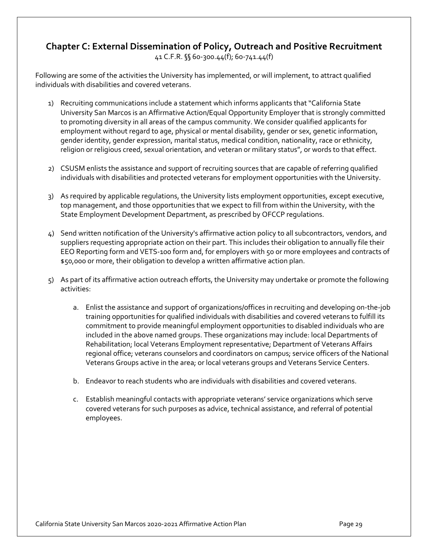# **Chapter C: External Dissemination of Policy, Outreach and Positive Recruitment**

41 C.F.R. §§ 60-300.44(f); 60-741.44(f)

Following are some of the activities the University has implemented, or will implement, to attract qualified individuals with disabilities and covered veterans.

- 1) Recruiting communications include a statement which informs applicants that "California State University San Marcos is an Affirmative Action/Equal Opportunity Employer that is strongly committed to promoting diversity in all areas of the campus community. We consider qualified applicants for employment without regard to age, physical or mental disability, gender or sex, genetic information, gender identity, gender expression, marital status, medical condition, nationality, race or ethnicity, religion or religious creed, sexual orientation, and veteran or military status", or words to that effect.
- 2) CSUSM enlists the assistance and support of recruiting sources that are capable of referring qualified individuals with disabilities and protected veterans for employment opportunities with the University.
- 3) As required by applicable regulations, the University lists employment opportunities, except executive, top management, and those opportunities that we expect to fill from within the University, with the State Employment Development Department, as prescribed by OFCCP regulations.
- 4) Send written notification of the University's affirmative action policy to all subcontractors, vendors, and suppliers requesting appropriate action on their part. This includes their obligation to annually file their EEO Reporting form and VETS-100 form and, for employers with 50 or more employees and contracts of \$50,000 or more, their obligation to develop a written affirmative action plan.
- 5) As part of its affirmative action outreach efforts, the University may undertake or promote the following activities:
	- a. Enlist the assistance and support of organizations/offices in recruiting and developing on-the-job training opportunities for qualified individuals with disabilities and covered veterans to fulfill its commitment to provide meaningful employment opportunities to disabled individuals who are included in the above named groups. These organizations may include: local Departments of Rehabilitation; local Veterans Employment representative; Department of Veterans Affairs regional office; veterans counselors and coordinators on campus; service officers of the National Veterans Groups active in the area; or local veterans groups and Veterans Service Centers.
	- b. Endeavor to reach students who are individuals with disabilities and covered veterans.
	- c. Establish meaningful contacts with appropriate veterans' service organizations which serve covered veterans for such purposes as advice, technical assistance, and referral of potential employees.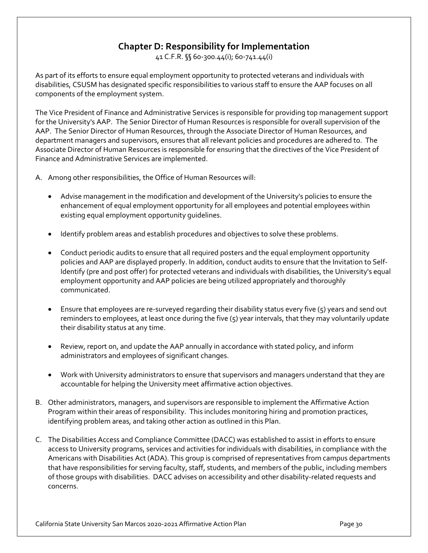# **Chapter D: Responsibility for Implementation**

41 C.F.R. §§ 60-300.44(i); 60-741.44(i)

As part of its efforts to ensure equal employment opportunity to protected veterans and individuals with disabilities, CSUSM has designated specific responsibilities to various staff to ensure the AAP focuses on all components of the employment system.

The Vice President of Finance and Administrative Services is responsible for providing top management support for the University's AAP. The Senior Director of Human Resources is responsible for overall supervision of the AAP. The Senior Director of Human Resources, through the Associate Director of Human Resources, and department managers and supervisors, ensures that all relevant policies and procedures are adhered to. The Associate Director of Human Resources is responsible for ensuring that the directives of the Vice President of Finance and Administrative Services are implemented.

A. Among other responsibilities, the Office of Human Resources will:

- Advise management in the modification and development of the University's policies to ensure the enhancement of equal employment opportunity for all employees and potential employees within existing equal employment opportunity guidelines.
- Identify problem areas and establish procedures and objectives to solve these problems.
- Conduct periodic audits to ensure that all required posters and the equal employment opportunity policies and AAP are displayed properly. In addition, conduct audits to ensure that the Invitation to Self-Identify (pre and post offer) for protected veterans and individuals with disabilities, the University's equal employment opportunity and AAP policies are being utilized appropriately and thoroughly communicated.
- Ensure that employees are re-surveyed regarding their disability status every five (5) years and send out reminders to employees, at least once during the five (5) year intervals, that they may voluntarily update their disability status at any time.
- Review, report on, and update the AAP annually in accordance with stated policy, and inform administrators and employees of significant changes.
- Work with University administrators to ensure that supervisors and managers understand that they are accountable for helping the University meet affirmative action objectives.
- B. Other administrators, managers, and supervisors are responsible to implement the Affirmative Action Program within their areas of responsibility. This includes monitoring hiring and promotion practices, identifying problem areas, and taking other action as outlined in this Plan.
- C. The Disabilities Access and Compliance Committee (DACC) was established to assist in efforts to ensure access to University programs, services and activities for individuals with disabilities, in compliance with the Americans with Disabilities Act (ADA). This group is comprised of representatives from campus departments that have responsibilities for serving faculty, staff, students, and members of the public, including members of those groups with disabilities. DACC advises on accessibility and other disability-related requests and concerns.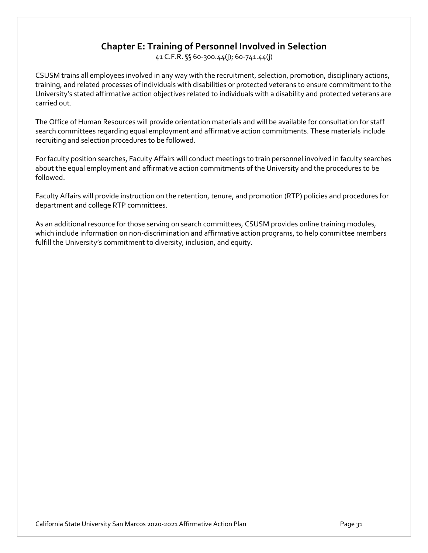# **Chapter E: Training of Personnel Involved in Selection**

41 C.F.R. §§ 60-300.44(j); 60-741.44(j)

CSUSM trains all employees involved in any way with the recruitment, selection, promotion, disciplinary actions, training, and related processes of individuals with disabilities or protected veterans to ensure commitment to the University's stated affirmative action objectives related to individuals with a disability and protected veterans are carried out.

The Office of Human Resources will provide orientation materials and will be available for consultation for staff search committees regarding equal employment and affirmative action commitments. These materials include recruiting and selection procedures to be followed.

For faculty position searches, Faculty Affairs will conduct meetings to train personnel involved in faculty searches about the equal employment and affirmative action commitments of the University and the procedures to be followed.

Faculty Affairs will provide instruction on the retention, tenure, and promotion (RTP) policies and procedures for department and college RTP committees.

As an additional resource for those serving on search committees, CSUSM provides online training modules, which include information on non-discrimination and affirmative action programs, to help committee members fulfill the University's commitment to diversity, inclusion, and equity.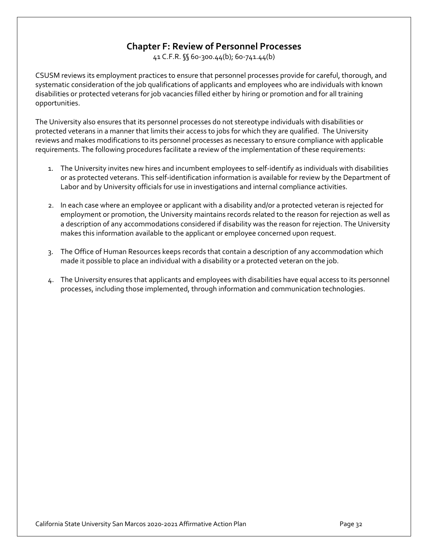# **Chapter F: Review of Personnel Processes**

41 C.F.R. §§ 60-300.44(b); 60-741.44(b)

CSUSM reviews its employment practices to ensure that personnel processes provide for careful, thorough, and systematic consideration of the job qualifications of applicants and employees who are individuals with known disabilities or protected veterans for job vacancies filled either by hiring or promotion and for all training opportunities.

The University also ensures that its personnel processes do not stereotype individuals with disabilities or protected veterans in a manner that limits their access to jobs for which they are qualified. The University reviews and makes modifications to its personnel processes as necessary to ensure compliance with applicable requirements. The following procedures facilitate a review of the implementation of these requirements:

- 1. The University invites new hires and incumbent employees to self-identify as individuals with disabilities or as protected veterans. This self-identification information is available for review by the Department of Labor and by University officials for use in investigations and internal compliance activities.
- 2. In each case where an employee or applicant with a disability and/or a protected veteran is rejected for employment or promotion, the University maintains records related to the reason for rejection as well as a description of any accommodations considered if disability was the reason for rejection. The University makes this information available to the applicant or employee concerned upon request.
- 3. The Office of Human Resources keeps records that contain a description of any accommodation which made it possible to place an individual with a disability or a protected veteran on the job.
- 4. The University ensures that applicants and employees with disabilities have equal access to its personnel processes, including those implemented, through information and communication technologies.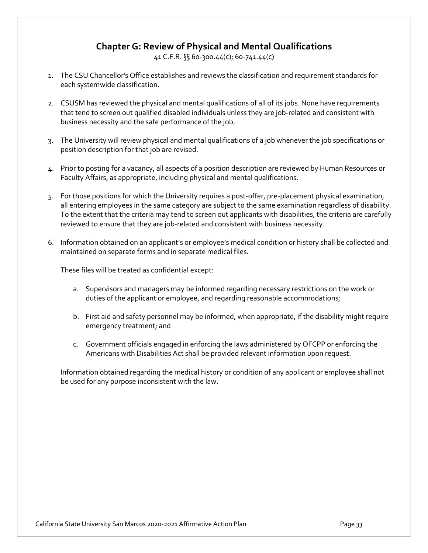# **Chapter G: Review of Physical and Mental Qualifications**

41 C.F.R. §§ 60-300.44(c); 60-741.44(c)

- 1. The CSU Chancellor's Office establishes and reviews the classification and requirement standards for each systemwide classification.
- 2. CSUSM has reviewed the physical and mental qualifications of all of its jobs. None have requirements that tend to screen out qualified disabled individuals unless they are job-related and consistent with business necessity and the safe performance of the job.
- 3. The University will review physical and mental qualifications of a job whenever the job specifications or position description for that job are revised.
- 4. Prior to posting for a vacancy, all aspects of a position description are reviewed by Human Resources or Faculty Affairs, as appropriate, including physical and mental qualifications.
- 5. For those positions for which the University requires a post-offer, pre-placement physical examination, all entering employees in the same category are subject to the same examination regardless of disability. To the extent that the criteria may tend to screen out applicants with disabilities, the criteria are carefully reviewed to ensure that they are job-related and consistent with business necessity.
- 6. Information obtained on an applicant's or employee's medical condition or history shall be collected and maintained on separate forms and in separate medical files.

These files will be treated as confidential except:

- a. Supervisors and managers may be informed regarding necessary restrictions on the work or duties of the applicant or employee, and regarding reasonable accommodations;
- b. First aid and safety personnel may be informed, when appropriate, if the disability might require emergency treatment; and
- c. Government officials engaged in enforcing the laws administered by OFCPP or enforcing the Americans with Disabilities Act shall be provided relevant information upon request.

Information obtained regarding the medical history or condition of any applicant or employee shall not be used for any purpose inconsistent with the law.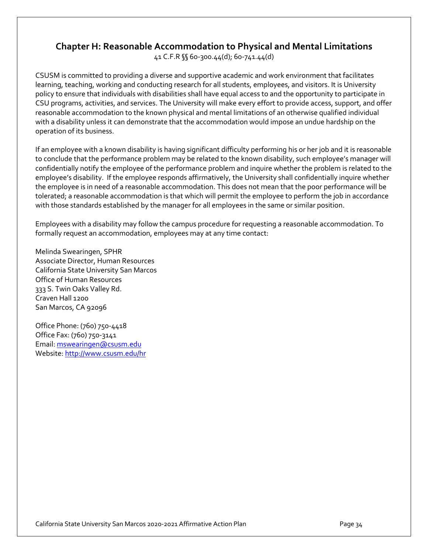### **Chapter H: Reasonable Accommodation to Physical and Mental Limitations**

41 C.F.R §§ 60-300.44(d); 60-741.44(d)

CSUSM is committed to providing a diverse and supportive academic and work environment that facilitates learning, teaching, working and conducting research for all students, employees, and visitors. It is University policy to ensure that individuals with disabilities shall have equal access to and the opportunity to participate in CSU programs, activities, and services. The University will make every effort to provide access, support, and offer reasonable accommodation to the known physical and mental limitations of an otherwise qualified individual with a disability unless it can demonstrate that the accommodation would impose an undue hardship on the operation of its business.

If an employee with a known disability is having significant difficulty performing his or her job and it is reasonable to conclude that the performance problem may be related to the known disability, such employee's manager will confidentially notify the employee of the performance problem and inquire whether the problem is related to the employee's disability. If the employee responds affirmatively, the University shall confidentially inquire whether the employee is in need of a reasonable accommodation. This does not mean that the poor performance will be tolerated; a reasonable accommodation is that which will permit the employee to perform the job in accordance with those standards established by the manager for all employees in the same or similar position.

Employees with a disability may follow the campus procedure for requesting a reasonable accommodation. To formally request an accommodation, employees may at any time contact:

Melinda Swearingen, SPHR Associate Director, Human Resources California State University San Marcos Office of Human Resources 333 S. Twin Oaks Valley Rd. Craven Hall 1200 San Marcos, CA 92096

Office Phone: (760) 750-4418 Office Fax: (760) 750-3141 Email: mswearingen@csusm.edu Website: http://www.csusm.edu/hr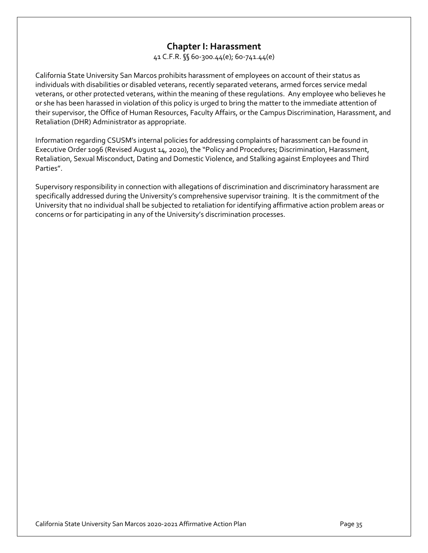### **Chapter I: Harassment**

41 C.F.R. §§ 60-300.44(e); 60-741.44(e)

California State University San Marcos prohibits harassment of employees on account of their status as individuals with disabilities or disabled veterans, recently separated veterans, armed forces service medal veterans, or other protected veterans, within the meaning of these regulations. Any employee who believes he or she has been harassed in violation of this policy is urged to bring the matter to the immediate attention of their supervisor, the Office of Human Resources, Faculty Affairs, or the Campus Discrimination, Harassment, and Retaliation (DHR) Administrator as appropriate.

Information regarding CSUSM's internal policies for addressing complaints of harassment can be found in Executive Order 1096 (Revised August 14, 2020), the "Policy and Procedures; Discrimination, Harassment, Retaliation, Sexual Misconduct, Dating and Domestic Violence, and Stalking against Employees and Third Parties".

Supervisory responsibility in connection with allegations of discrimination and discriminatory harassment are specifically addressed during the University's comprehensive supervisor training. It is the commitment of the University that no individual shall be subjected to retaliation for identifying affirmative action problem areas or concerns or for participating in any of the University's discrimination processes.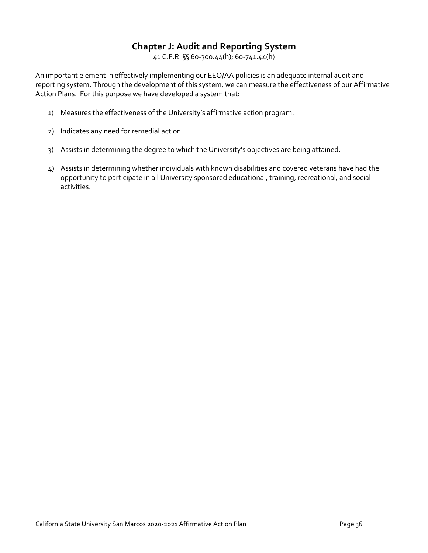# **Chapter J: Audit and Reporting System**

41 C.F.R. §§ 60-300.44(h); 60-741.44(h)

An important element in effectively implementing our EEO/AA policies is an adequate internal audit and reporting system. Through the development of this system, we can measure the effectiveness of our Affirmative Action Plans. For this purpose we have developed a system that:

- 1) Measures the effectiveness of the University's affirmative action program.
- 2) Indicates any need for remedial action.
- 3) Assists in determining the degree to which the University's objectives are being attained.
- 4) Assists in determining whether individuals with known disabilities and covered veterans have had the opportunity to participate in all University sponsored educational, training, recreational, and social activities.